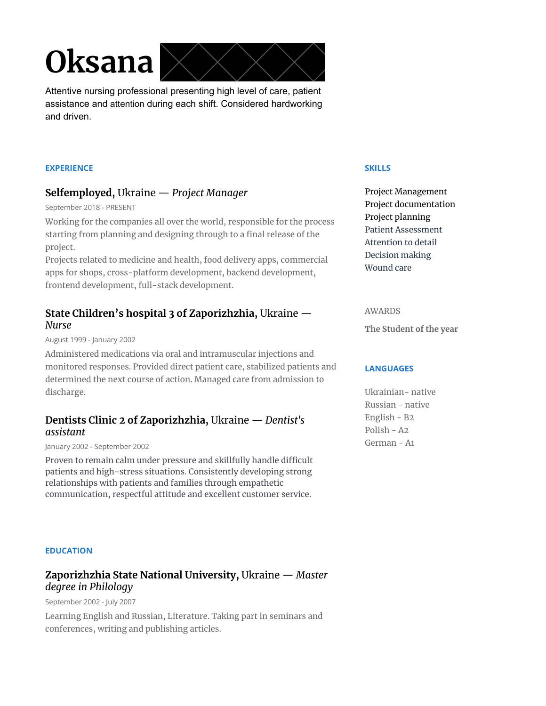# **Oksana**



Attentive nursing professional presenting high level of care, patient assistance and attention during each shift. Considered hardworking and driven.

#### **EXPERIENCE**

## **Selfemployed,** Ukraine — *Project Manager*

September 2018 - PRESENT

Working for the companies all over the world, responsible for the process starting from planning and designing through to a final release of the project.

Projects related to medicine and health, food delivery apps, commercial apps for shops, cross-platform development, backend development, frontend development, full-stack development.

## **State Children's hospital 3 of Zaporizhzhia,** Ukraine — *Nurse*

August 1999 - January 2002

Administered medications via oral and intramuscular injections and monitored responses. Provided direct patient care, stabilized patients and determined the next course of action. Managed care from admission to discharge.

## **Dentists Clinic 2 of Zaporizhzhia,** Ukraine — *Dentist's assistant*

January 2002 - September 2002

Proven to remain calm under pressure and skillfully handle difficult patients and high-stress situations. Consistently developing strong relationships with patients and families through empathetic communication, respectful attitude and excellent customer service.

#### **SKILLS**

Project Management Project documentation Project planning Patient Assessment Attention to detail Decision making Wound care

#### AWARDS

**The Student of the year**

#### **LANGUAGES**

Ukrainian- native Russian - native English - B2 Polish - A2 German - A1

#### **EDUCATION**

## **Zaporizhzhia State National University,** Ukraine — *Master degree in Philology*

September 2002 - July 2007

Learning English and Russian, Literature. Taking part in seminars and conferences, writing and publishing articles.